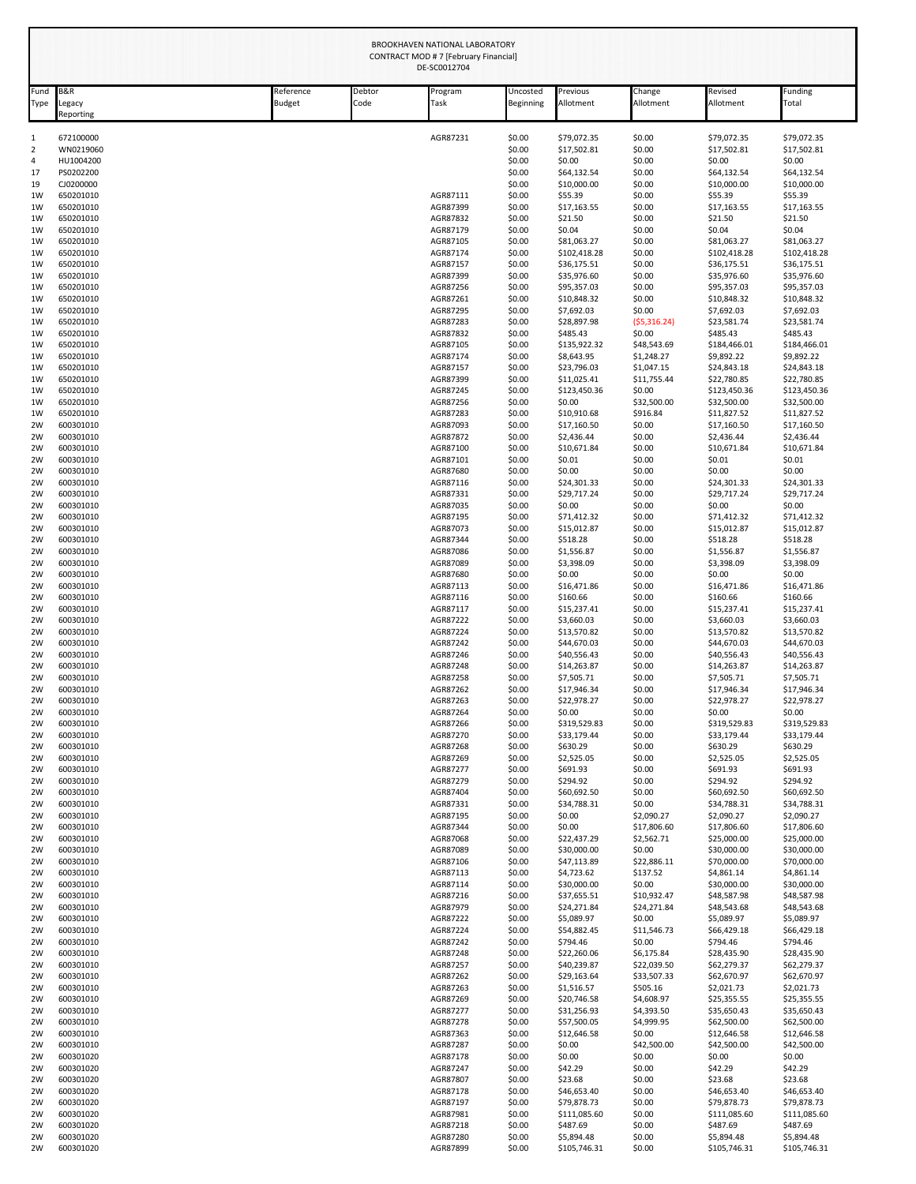| Fund     | <b>B&amp;R</b>         | Reference<br>Debtor |      | Program              | Uncosted         | Previous                   | Change                    | Revised                    | unding-                    |
|----------|------------------------|---------------------|------|----------------------|------------------|----------------------------|---------------------------|----------------------------|----------------------------|
| Type     | Legacy<br>Reporting    | <b>Budget</b>       | Code | Task                 | Beginning        | Allotment                  | Allotment                 | Allotment                  | Total                      |
| 1        | 672100000              |                     |      | AGR87231             | \$0.00           | \$79,072.35                | \$0.00                    | \$79.072.35                | \$79.072.35                |
| 2<br>4   | WN0219060<br>HU1004200 |                     |      |                      | \$0.00<br>\$0.00 | \$17,502.81<br>\$0.00      | \$0.00<br>\$0.00          | \$17,502.81<br>\$0.00      | \$17,502.81<br>\$0.00      |
| 17       | PS0202200              |                     |      |                      | \$0.00           | \$64,132.54                | \$0.00                    | \$64,132.54                | \$64,132.54                |
| 19       | CJ0200000              |                     |      |                      | \$0.00           | \$10,000.00                | \$0.00                    | \$10,000.00                | \$10,000.00                |
| 1W       | 650201010              |                     |      | AGR87111             | \$0.00           | \$55.39                    | \$0.00                    | \$55.39                    | \$55.39                    |
| 1W<br>1W | 650201010<br>650201010 |                     |      | AGR87399<br>AGR87832 | \$0.00<br>\$0.00 | \$17,163.55<br>\$21.50     | \$0.00<br>\$0.00          | \$17,163.55<br>\$21.50     | \$17,163.55<br>\$21.50     |
| 1W       | 650201010              |                     |      | AGR87179             | \$0.00           | \$0.04                     | \$0.00                    | \$0.04                     | \$0.04                     |
| 1W       | 650201010              |                     |      | AGR87105             | \$0.00           | \$81,063.27                | \$0.00                    | \$81,063.27                | \$81,063.27                |
| 1W       | 650201010              |                     |      | AGR87174             | \$0.00           | \$102,418.28               | \$0.00                    | \$102,418.28               | \$102,418.28               |
| 1W<br>1W | 650201010<br>650201010 |                     |      | AGR87157<br>AGR87399 | \$0.00<br>\$0.00 | \$36,175.51<br>\$35,976.60 | \$0.00<br>\$0.00          | \$36,175.51<br>\$35,976.60 | \$36,175.51<br>\$35,976.60 |
| 1W       | 650201010              |                     |      | AGR87256             | \$0.00           | \$95,357.03                | \$0.00                    | \$95,357.03                | \$95,357.03                |
| 1W       | 650201010              |                     |      | AGR87261             | \$0.00           | \$10,848.32                | \$0.00                    | \$10,848.32                | \$10,848.32                |
| 1W<br>1W | 650201010<br>650201010 |                     |      | AGR87295<br>AGR87283 | \$0.00<br>\$0.00 | \$7,692.03<br>\$28,897.98  | \$0.00<br>(55,316.24)     | \$7,692.03<br>\$23,581.74  | \$7,692.03<br>\$23,581.74  |
| 1W       | 650201010              |                     |      | AGR87832             | \$0.00           | \$485.43                   | \$0.00                    | \$485.43                   | \$485.43                   |
| 1W       | 650201010              |                     |      | AGR87105             | \$0.00           | \$135,922.32               | \$48,543.69               | \$184,466.01               | \$184,466.01               |
| 1W       | 650201010              |                     |      | AGR87174             | \$0.00           | \$8,643.95                 | \$1,248.27                | \$9,892.22                 | \$9,892.22                 |
| 1W<br>1W | 650201010<br>650201010 |                     |      | AGR87157<br>AGR87399 | \$0.00<br>\$0.00 | \$23,796.03<br>\$11,025.41 | \$1,047.15<br>\$11,755.44 | \$24,843.18<br>\$22,780.85 | \$24,843.18<br>\$22,780.85 |
| 1W       | 650201010              |                     |      | AGR87245             | \$0.00           | \$123,450.36               | \$0.00                    | \$123,450.36               | \$123,450.36               |
| 1W       | 650201010              |                     |      | AGR87256             | \$0.00           | \$0.00                     | \$32,500.00               | \$32,500.00                | \$32,500.00                |
| 1W       | 650201010              |                     |      | AGR87283             | \$0.00           | \$10,910.68                | \$916.84                  | \$11,827.52                | \$11,827.52                |
| 2W<br>2W | 600301010<br>600301010 |                     |      | AGR87093<br>AGR87872 | \$0.00<br>\$0.00 | \$17,160.50<br>\$2,436.44  | \$0.00<br>\$0.00          | \$17,160.50<br>\$2,436.44  | \$17,160.50<br>\$2,436.44  |
| 2W       | 600301010              |                     |      | AGR87100             | \$0.00           | \$10,671.84                | \$0.00                    | \$10,671.84                | \$10,671.84                |
| 2W       | 600301010              |                     |      | AGR87101             | \$0.00           | \$0.01                     | \$0.00                    | \$0.01                     | \$0.01                     |
| 2W       | 600301010              |                     |      | AGR87680             | \$0.00           | \$0.00                     | \$0.00                    | \$0.00                     | \$0.00                     |
| 2W<br>2W | 600301010<br>600301010 |                     |      | AGR87116<br>AGR87331 | \$0.00<br>\$0.00 | \$24,301.33<br>\$29,717.24 | \$0.00<br>\$0.00          | \$24,301.33<br>\$29,717.24 | \$24,301.33<br>\$29,717.24 |
| 2W       | 600301010              |                     |      | AGR87035             | \$0.00           | \$0.00                     | \$0.00                    | \$0.00                     | \$0.00                     |
| 2W       | 600301010              |                     |      | AGR87195             | \$0.00           | \$71,412.32                | \$0.00                    | \$71,412.32                | \$71,412.32                |
| 2W<br>2W | 600301010<br>600301010 |                     |      | AGR87073<br>AGR87344 | \$0.00<br>\$0.00 | \$15,012.87<br>\$518.28    | \$0.00<br>\$0.00          | \$15,012.87<br>\$518.28    | \$15,012.87<br>\$518.28    |
| 2W       | 600301010              |                     |      | AGR87086             | \$0.00           | \$1,556.87                 | \$0.00                    | \$1,556.87                 | \$1,556.87                 |
| 2W       | 600301010              |                     |      | AGR87089             | \$0.00           | \$3,398.09                 | \$0.00                    | \$3,398.09                 | \$3,398.09                 |
| 2W       | 600301010              |                     |      | AGR87680             | \$0.00           | \$0.00                     | \$0.00                    | \$0.00                     | \$0.00                     |
| 2W<br>2W | 600301010<br>600301010 |                     |      | AGR87113<br>AGR87116 | \$0.00<br>\$0.00 | \$16,471.86<br>\$160.66    | \$0.00<br>\$0.00          | \$16,471.86<br>\$160.66    | \$16,471.86<br>\$160.66    |
| 2W       | 600301010              |                     |      | AGR87117             | \$0.00           | \$15,237.41                | \$0.00                    | \$15,237.41                | \$15,237.41                |
| 2W       | 600301010              |                     |      | AGR87222             | \$0.00           | \$3,660.03                 | \$0.00                    | \$3,660.03                 | \$3,660.03                 |
| 2W       | 600301010              |                     |      | AGR87224             | \$0.00           | \$13,570.82                | \$0.00                    | \$13,570.82                | \$13,570.82                |
| 2W<br>2W | 600301010<br>600301010 |                     |      | AGR87242<br>AGR87246 | \$0.00<br>\$0.00 | \$44,670.03<br>\$40,556.43 | \$0.00<br>\$0.00          | \$44,670.03<br>\$40,556.43 | \$44,670.03<br>\$40,556.43 |
| 2W       | 600301010              |                     |      | AGR87248             | \$0.00           | \$14,263.87                | \$0.00                    | \$14,263.87                | \$14,263.87                |
| 2W       | 600301010              |                     |      | AGR87258             | \$0.00           | \$7,505.71                 | \$0.00                    | \$7,505.71                 | \$7,505.71                 |
| 2W       | 600301010              |                     |      | AGR87262             | \$0.00           | \$17,946.34                | \$0.00                    | \$17,946.34                | \$17,946.34                |
| 2W<br>2W | 600301010<br>600301010 |                     |      | AGR87263<br>AGR87264 | \$0.00<br>\$0.00 | \$22,978.27<br>\$0.00      | \$0.00<br>\$0.00          | \$22,978.27<br>\$0.00      | \$22,978.27<br>\$0.00      |
| 2W       | 600301010              |                     |      | AGR87266             | \$0.00           | \$319,529.83               | \$0.00                    | \$319,529.83               | \$319,529.83               |
| 2W       | 600301010              |                     |      | AGR87270             | \$0.00           | \$33,179.44                | \$0.00                    | \$33,179.44                | \$33,179.44                |
| 2W       | 600301010              |                     |      | AGR87268             | \$0.00           | \$630.29                   | \$0.00                    | \$630.29                   | \$630.29                   |
| 2W       | 600301010              |                     |      | AGR87269             | \$0.00           | \$2,525.05                 | \$0.00                    | \$2,525.05<br>\$691.93     | \$2,525.05<br>\$691.93     |
| 2W<br>2W | 600301010<br>600301010 |                     |      | AGR87277<br>AGR87279 | \$0.00<br>\$0.00 | \$691.93<br>\$294.92       | \$0.00<br>\$0.00          | \$294.92                   | \$294.92                   |
| 2W       | 600301010              |                     |      | AGR87404             | \$0.00           | \$60,692.50                | \$0.00                    | \$60,692.50                | \$60,692.50                |
| 2W       | 600301010              |                     |      | AGR87331             | \$0.00           | \$34,788.31                | \$0.00                    | \$34,788.31                | \$34,788.31                |
| 2W<br>2W | 600301010<br>600301010 |                     |      | AGR87195<br>AGR87344 | \$0.00<br>\$0.00 | \$0.00<br>\$0.00           | \$2,090.27<br>\$17,806.60 | \$2,090.27<br>\$17,806.60  | \$2,090.27<br>\$17,806.60  |
| 2W       | 600301010              |                     |      | AGR87068             | \$0.00           | \$22,437.29                | \$2,562.71                | \$25,000.00                | \$25,000.00                |
| 2W       | 600301010              |                     |      | AGR87089             | \$0.00           | \$30,000.00                | \$0.00                    | \$30,000.00                | \$30,000.00                |
| 2W       | 600301010              |                     |      | AGR87106             | \$0.00           | \$47,113.89                | \$22,886.11               | \$70,000.00                | \$70,000.00                |
| 2W<br>2W | 600301010<br>600301010 |                     |      | AGR87113<br>AGR87114 | \$0.00<br>\$0.00 | \$4,723.62<br>\$30,000.00  | \$137.52<br>\$0.00        | \$4,861.14<br>\$30,000.00  | \$4,861.14<br>\$30,000.00  |
| 2W       | 600301010              |                     |      | AGR87216             | \$0.00           | \$37,655.51                | \$10,932.47               | \$48,587.98                | \$48,587.98                |
| 2W       | 600301010              |                     |      | AGR87979             | \$0.00           | \$24,271.84                | \$24,271.84               | \$48,543.68                | \$48,543.68                |
| 2W       | 600301010              |                     |      | AGR87222             | \$0.00           | \$5,089.97                 | \$0.00                    | \$5,089.97                 | \$5,089.97                 |
| 2W<br>2W | 600301010<br>600301010 |                     |      | AGR87224<br>AGR87242 | \$0.00<br>\$0.00 | \$54,882.45<br>\$794.46    | \$11,546.73<br>\$0.00     | \$66,429.18<br>\$794.46    | \$66,429.18<br>\$794.46    |
| 2W       | 600301010              |                     |      | AGR87248             | \$0.00           | \$22,260.06                | \$6,175.84                | \$28,435.90                | \$28,435.90                |
| 2W       | 600301010              |                     |      | AGR87257             | \$0.00           | \$40,239.87                | \$22,039.50               | \$62,279.37                | \$62,279.37                |
| 2W       | 600301010              |                     |      | AGR87262             | \$0.00           | \$29,163.64                | \$33,507.33               | \$62,670.97                | \$62,670.97                |
| 2W<br>2W | 600301010<br>600301010 |                     |      | AGR87263<br>AGR87269 | \$0.00<br>\$0.00 | \$1,516.57<br>\$20,746.58  | \$505.16<br>\$4,608.97    | \$2,021.73<br>\$25,355.55  | \$2,021.73<br>\$25,355.55  |
| 2W       | 600301010              |                     |      | AGR87277             | \$0.00           | \$31,256.93                | \$4,393.50                | \$35,650.43                | \$35,650.43                |
| 2W       | 600301010              |                     |      | AGR87278             | \$0.00           | \$57,500.05                | \$4,999.95                | \$62,500.00                | \$62,500.00                |
| 2W       | 600301010              |                     |      | AGR87363             | \$0.00           | \$12,646.58                | \$0.00                    | \$12,646.58                | \$12,646.58                |
| 2W<br>2W | 600301010<br>600301020 |                     |      | AGR87287<br>AGR87178 | \$0.00<br>\$0.00 | \$0.00<br>\$0.00           | \$42,500.00<br>\$0.00     | \$42,500.00<br>\$0.00      | \$42,500.00<br>\$0.00      |
| 2W       | 600301020              |                     |      | AGR87247             | \$0.00           | \$42.29                    | \$0.00                    | \$42.29                    | \$42.29                    |
| 2W       | 600301020              |                     |      | AGR87807             | \$0.00           | \$23.68                    | \$0.00                    | \$23.68                    | \$23.68                    |
| 2W       | 600301020              |                     |      | AGR87178             | \$0.00           | \$46,653.40                | \$0.00                    | \$46,653.40                | \$46,653.40                |
| 2W       | 600301020              |                     |      | AGR87197             | \$0.00           | \$79,878.73                | \$0.00                    | \$79,878.73                | \$79,878.73                |
| 2W<br>2W | 600301020<br>600301020 |                     |      | AGR87981<br>AGR87218 | \$0.00<br>\$0.00 | \$111,085.60<br>\$487.69   | \$0.00<br>\$0.00          | \$111,085.60<br>\$487.69   | \$111,085.60<br>\$487.69   |
| 2W       | 600301020              |                     |      | AGR87280             | \$0.00           | \$5,894.48                 | \$0.00                    | \$5,894.48                 | \$5,894.48                 |
|          |                        |                     |      | AGR87899             |                  | \$105,746.31               | \$0.00                    | \$105,746.31               | \$105,746.31               |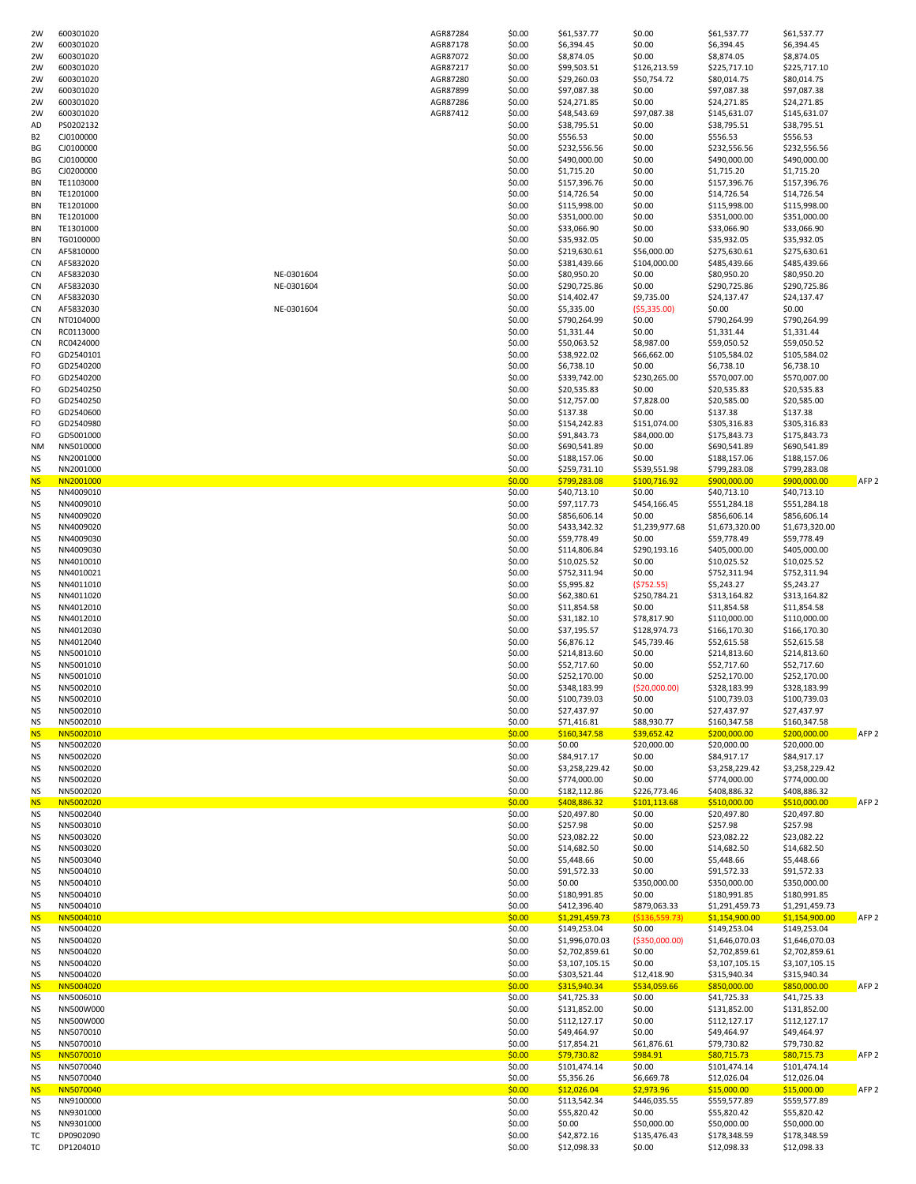| 2W              | 600301020              |            | AGR87284 | \$0.00           | \$61,537.77                 | \$0.00                   | \$61,537.77                    | \$61,537.77                   |                  |
|-----------------|------------------------|------------|----------|------------------|-----------------------------|--------------------------|--------------------------------|-------------------------------|------------------|
| 2W              | 600301020              |            | AGR87178 | \$0.00           | \$6,394.45                  | \$0.00                   | \$6,394.45                     | \$6,394.45                    |                  |
| 2W              | 600301020              |            | AGR87072 | \$0.00           | \$8,874.05                  | \$0.00                   | \$8,874.05                     | \$8,874.05                    |                  |
| 2W              | 600301020              |            | AGR87217 | \$0.00           | \$99,503.51                 | \$126,213.59             | \$225,717.10                   | \$225,717.10                  |                  |
| 2W              | 600301020              |            | AGR87280 | \$0.00           | \$29,260.03                 | \$50,754.72              | \$80,014.75                    | \$80,014.75                   |                  |
| 2W              | 600301020              |            | AGR87899 | \$0.00           | \$97,087.38                 | \$0.00                   | \$97,087.38                    | \$97,087.38                   |                  |
| 2W              | 600301020              |            | AGR87286 | \$0.00           | \$24,271.85                 | \$0.00                   | \$24,271.85                    | \$24,271.85                   |                  |
| 2W              | 600301020              |            | AGR87412 | \$0.00           | \$48,543.69                 | \$97,087.38              | \$145,631.07                   | \$145,631.07                  |                  |
| AD              | PS0202132              |            |          | \$0.00           | \$38,795.51                 | \$0.00                   | \$38,795.51                    | \$38,795.51                   |                  |
| B <sub>2</sub>  | CJ0100000              |            |          | \$0.00           | \$556.53                    | \$0.00                   | \$556.53                       | \$556.53                      |                  |
| ВG              | CJ0100000              |            |          | \$0.00           | \$232,556.56                | \$0.00                   | \$232,556.56                   | \$232,556.56                  |                  |
| ВG              | CJ0100000              |            |          | \$0.00           | \$490,000.00                | \$0.00                   | \$490,000.00                   | \$490,000.00                  |                  |
| ВG              | CJ0200000              |            |          | \$0.00           | \$1,715.20                  | \$0.00                   | \$1,715.20                     | \$1,715.20                    |                  |
| ΒN              | TE1103000              |            |          | \$0.00           | \$157,396.76                | \$0.00                   | \$157,396.76                   | \$157,396.76                  |                  |
| BN              | TE1201000              |            |          | \$0.00           | \$14,726.54                 | \$0.00                   | \$14,726.54                    | \$14,726.54                   |                  |
| BN              | TE1201000              |            |          | \$0.00           | \$115,998.00                | \$0.00                   | \$115,998.00                   | \$115,998.00                  |                  |
| BN              | TE1201000              |            |          | \$0.00           | \$351,000.00                | \$0.00                   | \$351,000.00                   | \$351,000.00                  |                  |
| BN              | TE1301000              |            |          | \$0.00           | \$33,066.90                 | \$0.00                   | \$33,066.90                    | \$33,066.90                   |                  |
| BN              | TG0100000              |            |          | \$0.00           | \$35,932.05                 | \$0.00                   | \$35,932.05                    | \$35,932.05                   |                  |
| CN              | AF5810000              |            |          | \$0.00           | \$219,630.61                | \$56,000.00              | \$275,630.61                   | \$275,630.61                  |                  |
| CN              | AF5832020              |            |          | \$0.00           | \$381,439.66                | \$104,000.00             | \$485,439.66                   | \$485,439.66                  |                  |
| CN              | AF5832030              | NE-0301604 |          | \$0.00           | \$80,950.20                 | \$0.00                   | \$80,950.20                    | \$80,950.20                   |                  |
| <b>CN</b>       | AF5832030              | NE-0301604 |          | \$0.00           | \$290,725.86                | \$0.00                   | \$290,725.86                   | \$290,725.86                  |                  |
| <b>CN</b>       | AF5832030              |            |          | \$0.00           | \$14,402.47                 | \$9,735.00               | \$24,137.47                    | \$24,137.47                   |                  |
| <b>CN</b>       | AF5832030              | NE-0301604 |          | \$0.00           | \$5,335.00                  | ( \$5,335.00)            | \$0.00                         | \$0.00                        |                  |
| CN              | NT0104000              |            |          | \$0.00           | \$790,264.99                | \$0.00                   | \$790,264.99                   | \$790,264.99                  |                  |
| CN              | RC0113000              |            |          | \$0.00           | \$1,331.44                  | \$0.00                   | \$1,331.44                     | \$1,331.44                    |                  |
| CN              | RC0424000              |            |          | \$0.00           | \$50,063.52                 | \$8,987.00               | \$59,050.52                    | \$59,050.52                   |                  |
| FO              | GD2540101              |            |          | \$0.00           | \$38,922.02                 | \$66,662.00              | \$105,584.02                   | \$105,584.02                  |                  |
| FO              | GD2540200              |            |          | \$0.00           | \$6,738.10                  | \$0.00                   | \$6,738.10                     | \$6,738.10                    |                  |
| FO              | GD2540200              |            |          | \$0.00           | \$339,742.00                | \$230,265.00             | \$570,007.00                   | \$570,007.00                  |                  |
| FO              | GD2540250              |            |          | \$0.00           | \$20,535.83                 | \$0.00                   | \$20,535.83                    | \$20,535.83                   |                  |
| FO              | GD2540250              |            |          | \$0.00           | \$12,757.00                 | \$7,828.00               | \$20,585.00                    | \$20,585.00                   |                  |
| FO              | GD2540600              |            |          | \$0.00           | \$137.38                    | \$0.00                   | \$137.38                       | \$137.38                      |                  |
| FO              | GD2540980              |            |          | \$0.00           | \$154,242.83                | \$151,074.00             | \$305,316.83                   | \$305,316.83                  |                  |
| FO              | GD5001000              |            |          | \$0.00           | \$91,843.73                 | \$84,000.00              | \$175,843.73                   | \$175,843.73                  |                  |
| <b>NM</b>       | NN5010000              |            |          | \$0.00           | \$690,541.89                | \$0.00                   | \$690,541.89                   | \$690,541.89                  |                  |
| ΝS              | NN2001000              |            |          | \$0.00           | \$188,157.06                | \$0.00                   | \$188,157.06                   | \$188,157.06                  |                  |
| <b>NS</b>       | NN2001000              |            |          | \$0.00           | \$259,731.10                | \$539,551.98             | \$799,283.08                   | \$799,283.08                  |                  |
| <b>NS</b>       | NN2001000              |            |          | \$0.00           | \$799,283.08                | \$100,716.92             | \$900,000.00                   | \$900,000.00                  | AFP <sub>2</sub> |
| <b>NS</b>       | NN4009010              |            |          | \$0.00           | \$40,713.10                 | \$0.00                   | \$40,713.10                    | \$40,713.10                   |                  |
| NS              | NN4009010              |            |          | \$0.00           | \$97,117.73                 | \$454,166.45             | \$551,284.18                   | \$551,284.18                  |                  |
| NS<br><b>NS</b> | NN4009020<br>NN4009020 |            |          | \$0.00<br>\$0.00 | \$856,606.14                | \$0.00<br>\$1,239,977.68 | \$856,606.14                   | \$856,606.14                  |                  |
|                 |                        |            |          | \$0.00           | \$433,342.32<br>\$59,778.49 |                          | \$1,673,320.00                 | \$1,673,320.00<br>\$59,778.49 |                  |
| ΝS<br>ΝS        | NN4009030<br>NN4009030 |            |          | \$0.00           | \$114,806.84                | \$0.00<br>\$290,193.16   | \$59,778.49<br>\$405,000.00    | \$405,000.00                  |                  |
| ΝS              | NN4010010              |            |          | \$0.00           | \$10,025.52                 | \$0.00                   | \$10,025.52                    | \$10,025.52                   |                  |
| <b>NS</b>       | NN4010021              |            |          | \$0.00           | \$752,311.94                | \$0.00                   | \$752,311.94                   | \$752,311.94                  |                  |
| <b>NS</b>       | NN4011010              |            |          | \$0.00           | \$5,995.82                  | (5752.55)                | \$5,243.27                     | \$5,243.27                    |                  |
| NS              | NN4011020              |            |          | \$0.00           | \$62,380.61                 | \$250,784.21             | \$313,164.82                   | \$313,164.82                  |                  |
| NS              | NN4012010              |            |          | \$0.00           | \$11,854.58                 | \$0.00                   | \$11,854.58                    | \$11,854.58                   |                  |
| NS              | NN4012010              |            |          | \$0.00           | \$31,182.10                 | \$78,817.90              | \$110,000.00                   | \$110,000.00                  |                  |
| NS              | NN4012030              |            |          | \$0.00           | \$37,195.57                 | \$128,974.73             | \$166,170.30                   | \$166,170.30                  |                  |
| ΝS              | NN4012040              |            |          | \$0.00           | \$6,876.12                  | \$45,739.46              | \$52,615.58                    | \$52,615.58                   |                  |
| ΝS              | NN5001010              |            |          | \$0.00           | \$214,813.60                | \$0.00                   | \$214,813.60                   | \$214,813.60                  |                  |
| <b>NS</b>       | NN5001010              |            |          | \$0.00           | \$52,717.60                 | \$0.00                   | \$52,717.60                    | \$52,717.60                   |                  |
| <b>NS</b>       | NN5001010              |            |          | \$0.00           | \$252,170.00                | \$0.00                   | \$252,170.00                   | \$252,170.00                  |                  |
| <b>NS</b>       | NN5002010              |            |          | \$0.00           | \$348,183.99                | (\$20,000.00)            | \$328,183.99                   | \$328,183.99                  |                  |
| <b>NS</b>       | NN5002010              |            |          | \$0.00           | \$100,739.03                | \$0.00                   | \$100,739.03                   | \$100,739.03                  |                  |
| NS              | NN5002010              |            |          | \$0.00           | \$27,437.97                 | \$0.00                   | \$27,437.97                    | \$27,437.97                   |                  |
| <b>NS</b>       | NN5002010              |            |          | \$0.00           | \$71,416.81                 | \$88,930.77              | \$160,347.58                   | \$160,347.58                  |                  |
| <b>NS</b>       | NN5002010              |            |          | \$0.00           | \$160,347.58                | \$39,652.42              | \$200,000.00                   | \$200,000.00                  | AFP <sub>2</sub> |
| NS              | NN5002020              |            |          | \$0.00           | \$0.00                      | \$20,000.00              | \$20,000.00                    | \$20,000.00                   |                  |
| <b>NS</b>       | NN5002020              |            |          | \$0.00           | \$84,917.17                 | \$0.00                   | \$84,917.17                    | \$84,917.17                   |                  |
| NS              | NN5002020              |            |          | \$0.00           | \$3,258,229.42              | \$0.00                   | \$3,258,229.42                 | \$3,258,229.42                |                  |
| NS              | NN5002020              |            |          | \$0.00           | \$774,000.00                | \$0.00                   | \$774,000.00                   | \$774,000.00                  |                  |
| NS              | NN5002020              |            |          | \$0.00           | \$182,112.86                | \$226,773.46             | \$408,886.32                   | \$408,886.32                  |                  |
| <b>NS</b>       | NN5002020              |            |          | \$0.00           | \$408,886.32                | \$101,113.68             | \$510,000.00                   | \$510,000.00                  | AFP <sub>2</sub> |
| <b>NS</b>       | NN5002040              |            |          | \$0.00           | \$20,497.80                 | \$0.00                   | \$20,497.80                    | \$20,497.80                   |                  |
| NS              | NN5003010              |            |          | \$0.00           | \$257.98                    | \$0.00                   | \$257.98                       | \$257.98                      |                  |
| NS              | NN5003020              |            |          | \$0.00           | \$23,082.22                 | \$0.00                   | \$23,082.22                    | \$23,082.22                   |                  |
| NS              | NN5003020              |            |          | \$0.00           | \$14,682.50                 | \$0.00                   | \$14,682.50                    | \$14,682.50                   |                  |
| NS              | NN5003040              |            |          | \$0.00           | \$5,448.66                  | \$0.00                   | \$5,448.66                     | \$5,448.66                    |                  |
| ΝS<br>ΝS        | NN5004010<br>NN5004010 |            |          | \$0.00<br>\$0.00 | \$91,572.33<br>\$0.00       | \$0.00<br>\$350,000.00   | \$91,572.33<br>\$350,000.00    | \$91,572.33<br>\$350,000.00   |                  |
|                 | NN5004010              |            |          | \$0.00           | \$180,991.85                | \$0.00                   | \$180,991.85                   | \$180,991.85                  |                  |
| ΝS<br>ΝS        | NN5004010              |            |          | \$0.00           | \$412,396.40                | \$879,063.33             | \$1,291,459.73                 | \$1,291,459.73                |                  |
|                 |                        |            |          | \$0.00           | \$1,291,459.73              | ( \$136, 559.73)         |                                | \$1,154,900.00                | AFP <sub>2</sub> |
| <b>NS</b><br>ΝS | NN5004010<br>NN5004020 |            |          | \$0.00           | \$149,253.04                | \$0.00                   | \$1,154,900.00<br>\$149,253.04 | \$149,253.04                  |                  |
| ΝS              | NN5004020              |            |          | \$0.00           | \$1,996,070.03              | ( \$350,000.00)          | \$1,646,070.03                 | \$1,646,070.03                |                  |
| ΝS              | NN5004020              |            |          | \$0.00           | \$2,702,859.61              | \$0.00                   | \$2,702,859.61                 | \$2,702,859.61                |                  |
| ΝS              | NN5004020              |            |          | \$0.00           | \$3,107,105.15              | \$0.00                   | \$3,107,105.15                 | \$3,107,105.15                |                  |
| ΝS              | NN5004020              |            |          | \$0.00           | \$303,521.44                | \$12,418.90              | \$315,940.34                   | \$315,940.34                  |                  |
| <b>NS</b>       | NN5004020              |            |          | \$0.00           | \$315,940.34                | \$534,059.66             | \$850,000.00                   | \$850,000.00                  | AFP <sub>2</sub> |
|                 | NN5006010              |            |          | \$0.00           | \$41,725.33                 | \$0.00                   | \$41,725.33                    | \$41,725.33                   |                  |
| ΝS              |                        |            |          | \$0.00           | \$131,852.00                | \$0.00                   | \$131,852.00                   | \$131,852.00                  |                  |
| ΝS              | NN500W000              |            |          | \$0.00           | \$112,127.17                | \$0.00                   | \$112,127.17                   | \$112,127.17                  |                  |
| <b>NS</b>       | NN500W000              |            |          |                  |                             |                          |                                |                               |                  |
| ΝS              | NN5070010              |            |          | \$0.00           | \$49,464.97                 | \$0.00                   | \$49,464.97                    | \$49,464.97                   |                  |
| ΝS              | NN5070010              |            |          | \$0.00           | \$17,854.21                 | \$61,876.61              | \$79,730.82                    | \$79,730.82                   |                  |
| <b>NS</b>       | NN5070010              |            |          | \$0.00           | \$79,730.82                 | \$984.91                 | \$80,715.73                    | \$80,715.73                   | AFP <sub>2</sub> |
| ΝS              | NN5070040              |            |          | \$0.00           | \$101,474.14                | \$0.00                   | \$101,474.14                   | \$101,474.14                  |                  |
| ΝS              | NN5070040              |            |          | \$0.00           | \$5,356.26                  | \$6,669.78               | \$12,026.04                    | \$12,026.04                   |                  |
| <b>NS</b>       | NN5070040              |            |          | \$0.00           | \$12,026.04                 | \$2,973.96               | \$15,000.00                    | \$15,000.00                   | AFP <sub>2</sub> |
| ΝS              | NN9100000              |            |          | \$0.00           | \$113,542.34                | \$446,035.55             | \$559,577.89                   | \$559,577.89                  |                  |
| ΝS              | NN9301000              |            |          | \$0.00           | \$55,820.42                 | \$0.00                   | \$55,820.42                    | \$55,820.42                   |                  |
| ΝS              | NN9301000              |            |          | \$0.00           | \$0.00                      | \$50,000.00              | \$50,000.00                    | \$50,000.00                   |                  |
| тс<br>тс        | DP0902090<br>DP1204010 |            |          | \$0.00<br>\$0.00 | \$42,872.16<br>\$12,098.33  | \$135,476.43<br>\$0.00   | \$178,348.59<br>\$12,098.33    | \$178,348.59<br>\$12,098.33   |                  |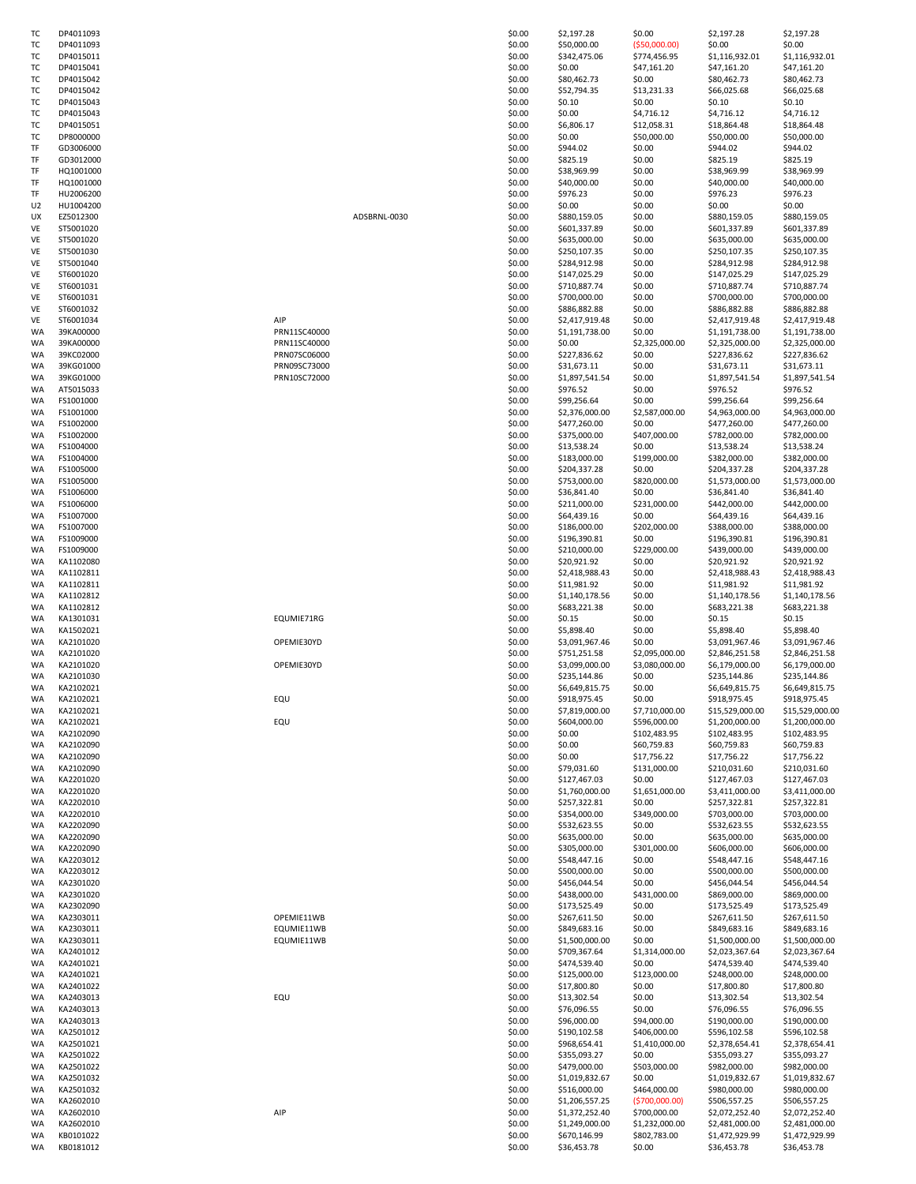| T)       | DP4011093              |
|----------|------------------------|
| тс       | DP4011093              |
| T(       | DP4015011              |
| т        | DP4015041              |
| т        | DP4015042              |
| т        | DP4015042              |
| т        | DP4015043              |
| ТΟ       | DP4015043              |
| T        | DP4015051              |
| т        | DP8000000              |
| TF       | GD3006000              |
| TF       | GD3012000              |
| TF       | HQ1001000              |
| TF       | HQ1001000              |
| TF<br>U2 | HU2006200<br>HU1004200 |
| UX       | EZ5012300              |
| VE       | ST5001020              |
| VE       | ST5001020              |
| VE       | ST5001030              |
| VE       | ST5001040              |
| VE       | ST6001020              |
| VE       | ST6001031              |
| VE       | ST6001031              |
| VE       | ST6001032              |
| VE       | ST6001034              |
| WA<br>WA | 39KA00000<br>39KA00000 |
| WA       | 39KC02000              |
| WA       | 39KG01000              |
| WA       | 39KG01000              |
| WA       | AT5015033              |
| WA       | FS1001000              |
| WA       | FS1001000              |
| WA       | FS1002000              |
| WA       | FS1002000              |
| WA       | FS1004000              |
| WA       | FS1004000              |
| WA       | FS1005000              |
| WA       | FS1005000              |
| WA       | FS1006000              |
| WA<br>WA | FS1006000<br>FS1007000 |
| WA       | FS1007000              |
| WA       | FS1009000              |
| WA       | FS1009000              |
| WA       | KA1102080              |
| WA       | KA1102811              |
| WA       | KA1102811              |
| WA       | KA1102812              |
| WA       | KA1102812              |
| WA       | KA1301031              |
| WA       | KA1502021              |
| WA       | KA2101020              |
| WA       | KA2101020              |
| WA<br>WA | KA2101020<br>KA2101030 |
| WA       | KA2102021              |
| WA       | KA2102021              |
| WA       | KA2102021              |
| WA       | KA2102021              |
| WA       | KA2102090              |
| WA       | KA2102090              |
| WA       | KA2102090              |
| WA       | KA2102090              |
| WA       | KA2201020              |
| WA       | KA2201020              |
| WA       | KA2202010              |
| WA<br>WA | KA2202010<br>KA2202090 |
| WA       | KA2202090              |
| WA       | KA2202090              |
| WA       | KA2203012              |
| WA       | KA2203012              |
| WA       | KA2301020              |
| WA       | KA2301020              |
| WA       | KA2302090              |
| WA       | KA2303011              |
| WA       | KA2303011              |
| WA       | KA2303011              |
| WA       | KA2401012              |
| WA       | KA2401021              |
| WA<br>WA | KA2401021<br>KA2401022 |
| WA       | KA2403013              |
| WA       | KA2403013              |
| WA       | KA2403013              |
| WA       | KA2501012              |
| WA       | KA2501021              |
| WA       | KA2501022              |
| WA       | KA2501022              |
| WA       | KA2501032              |
| WA       | KA2501032              |
| WA       | KA2602010              |
| WA       | KA2602010              |
| WA<br>WA | KA2602010<br>KB0101022 |
| WA       | KB0181012              |
|          |                        |

| тс       | DP4011093 |              | \$0.00 | \$2,197.28     | \$0.00          | \$2,197.28      | \$2,197.28      |
|----------|-----------|--------------|--------|----------------|-----------------|-----------------|-----------------|
| тс       | DP4011093 |              | \$0.00 | \$50,000.00    | ( \$50,000.00)  | \$0.00          | \$0.00          |
| тс       | DP4015011 |              | \$0.00 | \$342,475.06   | \$774,456.95    | \$1,116,932.01  | \$1,116,932.01  |
| ТC       | DP4015041 |              | \$0.00 | \$0.00         | \$47,161.20     | \$47,161.20     | \$47,161.20     |
| ТC       | DP4015042 |              | \$0.00 | \$80,462.73    | \$0.00          | \$80,462.73     | \$80,462.73     |
| тс       | DP4015042 |              | \$0.00 | \$52,794.35    | \$13,231.33     | \$66,025.68     | \$66,025.68     |
| тс       | DP4015043 |              | \$0.00 | \$0.10         | \$0.00          | \$0.10          | \$0.10          |
| ТC       | DP4015043 |              | \$0.00 | \$0.00         | \$4,716.12      | \$4,716.12      | \$4,716.12      |
| тс       | DP4015051 |              | \$0.00 | \$6,806.17     | \$12,058.31     | \$18,864.48     | \$18,864.48     |
| тс       | DP8000000 |              | \$0.00 | \$0.00         | \$50,000.00     | \$50,000.00     | \$50,000.00     |
| TF       | GD3006000 |              | \$0.00 | \$944.02       | \$0.00          | \$944.02        | \$944.02        |
| TF       | GD3012000 |              | \$0.00 | \$825.19       | \$0.00          | \$825.19        | \$825.19        |
| TF       | HQ1001000 |              | \$0.00 | \$38,969.99    | \$0.00          | \$38,969.99     | \$38,969.99     |
| TF       | HQ1001000 |              | \$0.00 | \$40,000.00    | \$0.00          | \$40,000.00     | \$40,000.00     |
| TF       | HU2006200 |              | \$0.00 | \$976.23       | \$0.00          | \$976.23        | \$976.23        |
| U2       | HU1004200 |              | \$0.00 | \$0.00         | \$0.00          | \$0.00          | \$0.00          |
| UX       | EZ5012300 | ADSBRNL-0030 | \$0.00 | \$880,159.05   | \$0.00          | \$880,159.05    | \$880,159.05    |
| VE       |           |              |        |                |                 |                 |                 |
|          | ST5001020 |              | \$0.00 | \$601,337.89   | \$0.00          | \$601,337.89    | \$601,337.89    |
| VE       | ST5001020 |              | \$0.00 | \$635,000.00   | \$0.00          | \$635,000.00    | \$635,000.00    |
| VE       | ST5001030 |              | \$0.00 | \$250,107.35   | \$0.00          | \$250,107.35    | \$250,107.35    |
| VE       | ST5001040 |              | \$0.00 | \$284,912.98   | \$0.00          | \$284,912.98    | \$284,912.98    |
| VE       | ST6001020 |              | \$0.00 | \$147,025.29   | \$0.00          | \$147,025.29    | \$147,025.29    |
| VE       | ST6001031 |              | \$0.00 | \$710,887.74   | \$0.00          | \$710,887.74    | \$710,887.74    |
| VE       | ST6001031 |              | \$0.00 | \$700,000.00   | \$0.00          | \$700,000.00    | \$700,000.00    |
| VE       | ST6001032 |              | \$0.00 | \$886,882.88   | \$0.00          | \$886,882.88    | \$886,882.88    |
| VE       | ST6001034 | AIP          | \$0.00 | \$2,417,919.48 | \$0.00          | \$2,417,919.48  | \$2,417,919.48  |
| WA       | 39KA00000 | PRN11SC40000 | \$0.00 | \$1,191,738.00 | \$0.00          | \$1,191,738.00  | \$1,191,738.00  |
| WA       | 39KA00000 | PRN11SC40000 | \$0.00 | \$0.00         | \$2,325,000.00  | \$2,325,000.00  | \$2,325,000.00  |
| WA       | 39KC02000 | PRN07SC06000 | \$0.00 | \$227,836.62   | \$0.00          | \$227,836.62    | \$227,836.62    |
| WA       | 39KG01000 | PRN09SC73000 | \$0.00 | \$31,673.11    | \$0.00          | \$31,673.11     | \$31,673.11     |
| WA       | 39KG01000 | PRN10SC72000 | \$0.00 | \$1,897,541.54 | \$0.00          | \$1,897,541.54  | \$1,897,541.54  |
| WA       | AT5015033 |              | \$0.00 | \$976.52       | \$0.00          | \$976.52        | \$976.52        |
| WA       | FS1001000 |              | \$0.00 | \$99,256.64    | \$0.00          | \$99,256.64     | \$99,256.64     |
| WA       | FS1001000 |              | \$0.00 | \$2,376,000.00 | \$2,587,000.00  | \$4,963,000.00  | \$4,963,000.00  |
| WA       | FS1002000 |              | \$0.00 | \$477,260.00   | \$0.00          | \$477,260.00    | \$477,260.00    |
| WA       | FS1002000 |              | \$0.00 | \$375,000.00   | \$407,000.00    | \$782,000.00    | \$782,000.00    |
| WA       | FS1004000 |              | \$0.00 | \$13,538.24    | \$0.00          | \$13,538.24     | \$13,538.24     |
| WA       | FS1004000 |              | \$0.00 | \$183,000.00   | \$199,000.00    | \$382,000.00    | \$382,000.00    |
| WA       | FS1005000 |              | \$0.00 | \$204,337.28   | \$0.00          | \$204,337.28    | \$204,337.28    |
| WA       | FS1005000 |              | \$0.00 | \$753,000.00   | \$820,000.00    | \$1,573,000.00  | \$1,573,000.00  |
| WA       | FS1006000 |              | \$0.00 | \$36,841.40    | \$0.00          | \$36,841.40     | \$36,841.40     |
| WA       | FS1006000 |              | \$0.00 | \$211,000.00   | \$231,000.00    | \$442,000.00    | \$442,000.00    |
| WA       | FS1007000 |              | \$0.00 | \$64,439.16    | \$0.00          | \$64,439.16     | \$64,439.16     |
| WA       | FS1007000 |              | \$0.00 | \$186,000.00   | \$202,000.00    | \$388,000.00    | \$388,000.00    |
|          | FS1009000 |              | \$0.00 | \$196,390.81   | \$0.00          | \$196,390.81    | \$196,390.81    |
| WA<br>WA | FS1009000 |              | \$0.00 | \$210,000.00   | \$229,000.00    | \$439,000.00    | \$439,000.00    |
| WA       | KA1102080 |              | \$0.00 | \$20,921.92    | \$0.00          | \$20,921.92     | \$20,921.92     |
|          |           |              |        |                |                 |                 |                 |
| WA       | KA1102811 |              | \$0.00 | \$2,418,988.43 | \$0.00          | \$2,418,988.43  | \$2,418,988.43  |
| WA       | KA1102811 |              | \$0.00 | \$11,981.92    | \$0.00          | \$11,981.92     | \$11,981.92     |
| WA       | KA1102812 |              | \$0.00 | \$1,140,178.56 | \$0.00          | \$1,140,178.56  | \$1,140,178.56  |
| WA       | KA1102812 |              | \$0.00 | \$683,221.38   | \$0.00          | \$683,221.38    | \$683,221.38    |
| WA       | KA1301031 | EQUMIE71RG   | \$0.00 | \$0.15         | \$0.00          | \$0.15          | \$0.15          |
| WA       | KA1502021 |              | \$0.00 | \$5,898.40     | \$0.00          | \$5,898.40      | \$5,898.40      |
| WA       | KA2101020 | OPEMIE30YD   | \$0.00 | \$3,091,967.46 | \$0.00          | \$3,091,967.46  | \$3,091,967.46  |
| WA       | KA2101020 |              | \$0.00 | \$751,251.58   | \$2,095,000.00  | \$2,846,251.58  | \$2,846,251.58  |
| WA       | KA2101020 | OPEMIE30YD   | \$0.00 | \$3,099,000.00 | \$3,080,000.00  | \$6,179,000.00  | \$6,179,000.00  |
| WA       | KA2101030 |              | \$0.00 | \$235,144.86   | \$0.00          | \$235,144.86    | \$235,144.86    |
| WA       | KA2102021 |              | \$0.00 | \$6,649,815.75 | \$0.00          | \$6,649,815.75  | \$6,649,815.75  |
| WA       | KA2102021 | EQU          | \$0.00 | \$918,975.45   | \$0.00          | \$918,975.45    | \$918,975.45    |
| WA       | KA2102021 |              | \$0.00 | \$7,819,000.00 | \$7,710,000.00  | \$15,529,000.00 | \$15,529,000.00 |
| WA       | KA2102021 | EQU          | \$0.00 | \$604,000.00   | \$596,000.00    | \$1,200,000.00  | \$1,200,000.00  |
| WA       | KA2102090 |              | \$0.00 | \$0.00         | \$102,483.95    | \$102,483.95    | \$102,483.95    |
| WA       | KA2102090 |              | \$0.00 | \$0.00         | \$60,759.83     | \$60,759.83     | \$60,759.83     |
| WA       | KA2102090 |              | \$0.00 | \$0.00         | \$17,756.22     | \$17,756.22     | \$17,756.22     |
| WA       | KA2102090 |              | \$0.00 | \$79,031.60    | \$131,000.00    | \$210,031.60    | \$210,031.60    |
| WA       | KA2201020 |              | \$0.00 | \$127,467.03   | \$0.00          | \$127,467.03    | \$127,467.03    |
| WA       | KA2201020 |              | \$0.00 | \$1,760,000.00 | \$1,651,000.00  | \$3,411,000.00  | \$3,411,000.00  |
| WA       | KA2202010 |              | \$0.00 | \$257,322.81   | \$0.00          | \$257,322.81    | \$257,322.81    |
| WA       | KA2202010 |              | \$0.00 | \$354,000.00   | \$349,000.00    | \$703,000.00    | \$703,000.00    |
| WA       | KA2202090 |              | \$0.00 | \$532,623.55   | \$0.00          | \$532,623.55    | \$532,623.55    |
| WA       | KA2202090 |              | \$0.00 | \$635,000.00   | \$0.00          | \$635,000.00    | \$635,000.00    |
| WA       | KA2202090 |              | \$0.00 | \$305,000.00   | \$301,000.00    | \$606,000.00    | \$606,000.00    |
| WA       | KA2203012 |              | \$0.00 | \$548,447.16   | \$0.00          | \$548,447.16    | \$548,447.16    |
| WA       | KA2203012 |              | \$0.00 | \$500,000.00   | \$0.00          | \$500,000.00    | \$500,000.00    |
| WA       | KA2301020 |              | \$0.00 | \$456,044.54   | \$0.00          | \$456,044.54    | \$456,044.54    |
| WA       | KA2301020 |              | \$0.00 | \$438,000.00   | \$431,000.00    | \$869,000.00    | \$869,000.00    |
| WA       | KA2302090 |              | \$0.00 | \$173,525.49   | \$0.00          | \$173,525.49    | \$173,525.49    |
| WA       | KA2303011 | OPEMIE11WB   | \$0.00 | \$267,611.50   | \$0.00          | \$267,611.50    | \$267,611.50    |
| WA       | KA2303011 | EQUMIE11WB   | \$0.00 | \$849,683.16   | \$0.00          | \$849,683.16    | \$849,683.16    |
| WA       | KA2303011 | EQUMIE11WB   | \$0.00 | \$1,500,000.00 | \$0.00          | \$1,500,000.00  | \$1,500,000.00  |
| WA       | KA2401012 |              | \$0.00 | \$709,367.64   | \$1,314,000.00  | \$2,023,367.64  | \$2,023,367.64  |
| WA       | KA2401021 |              | \$0.00 | \$474,539.40   | \$0.00          | \$474,539.40    | \$474,539.40    |
| WA       | KA2401021 |              | \$0.00 | \$125,000.00   | \$123,000.00    | \$248,000.00    | \$248,000.00    |
|          | KA2401022 |              |        | \$17,800.80    | \$0.00          | \$17,800.80     |                 |
| WA       | KA2403013 | EQU          | \$0.00 |                | \$0.00          |                 | \$17,800.80     |
| WA       |           |              | \$0.00 | \$13,302.54    |                 | \$13,302.54     | \$13,302.54     |
| WA       | KA2403013 |              | \$0.00 | \$76,096.55    | \$0.00          | \$76,096.55     | \$76,096.55     |
| WA       | KA2403013 |              | \$0.00 | \$96,000.00    | \$94,000.00     | \$190,000.00    | \$190,000.00    |
| WA       | KA2501012 |              | \$0.00 | \$190,102.58   | \$406,000.00    | \$596,102.58    | \$596,102.58    |
| WA       | KA2501021 |              | \$0.00 | \$968,654.41   | \$1,410,000.00  | \$2,378,654.41  | \$2,378,654.41  |
| WA       | KA2501022 |              | \$0.00 | \$355,093.27   | \$0.00          | \$355,093.27    | \$355,093.27    |
| WA       | KA2501022 |              | \$0.00 | \$479,000.00   | \$503,000.00    | \$982,000.00    | \$982,000.00    |
| WA       | KA2501032 |              | \$0.00 | \$1,019,832.67 | \$0.00          | \$1,019,832.67  | \$1,019,832.67  |
| WA       | KA2501032 |              | \$0.00 | \$516,000.00   | \$464,000.00    | \$980,000.00    | \$980,000.00    |
| WA       | KA2602010 |              | \$0.00 | \$1,206,557.25 | ( \$700,000.00) | \$506,557.25    | \$506,557.25    |
| WA       | KA2602010 | AIP          | \$0.00 | \$1,372,252.40 | \$700,000.00    | \$2,072,252.40  | \$2,072,252.40  |
| WA       | KA2602010 |              | \$0.00 | \$1,249,000.00 | \$1,232,000.00  | \$2,481,000.00  | \$2,481,000.00  |
| WA       | KB0101022 |              | \$0.00 | \$670,146.99   | \$802,783.00    | \$1,472,929.99  | \$1,472,929.99  |
| WA       | KB0181012 |              | \$0.00 | \$36,453.78    | \$0.00          | \$36,453.78     | \$36,453.78     |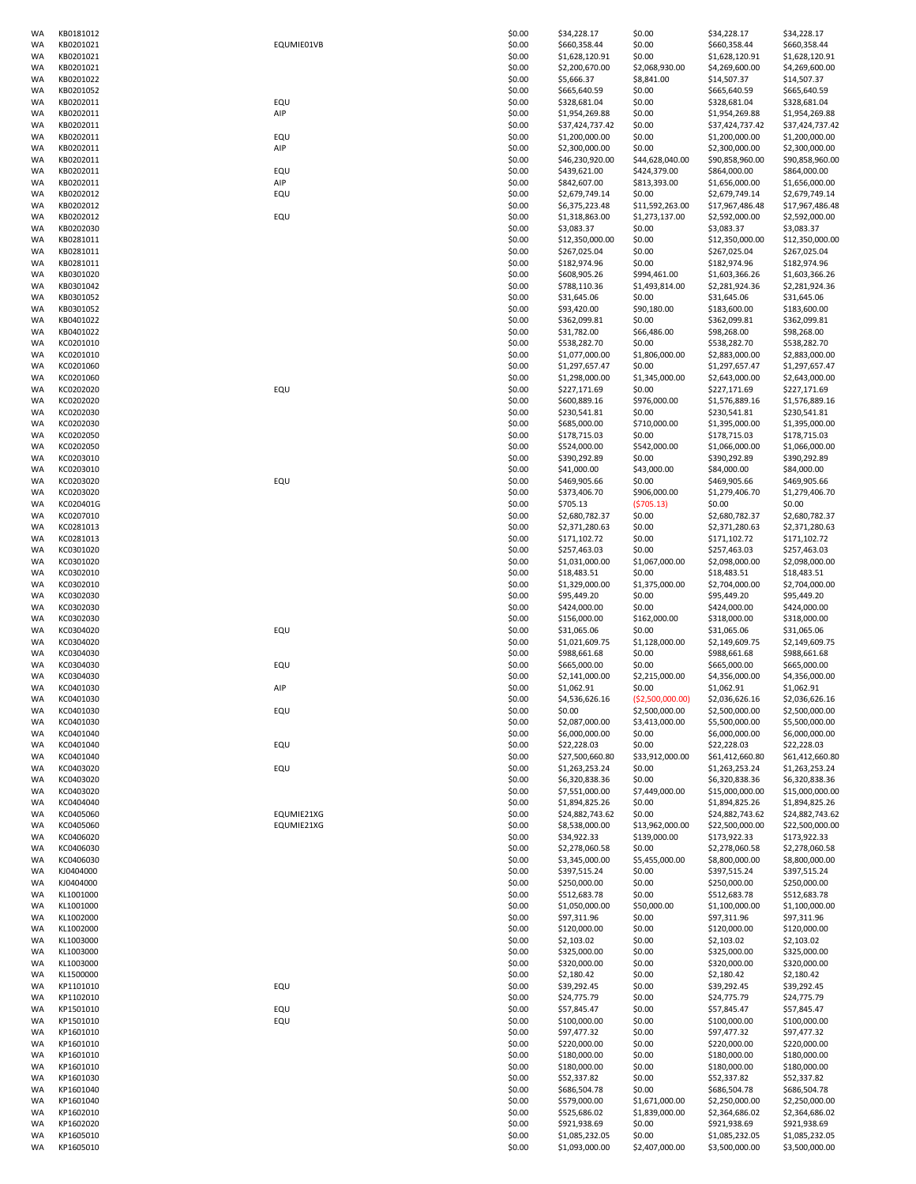| WA       | KB0181012              |            | \$0.00           | \$34,228.17                       | \$0.00                      | \$34,228.17                       | \$34,228.17                       |
|----------|------------------------|------------|------------------|-----------------------------------|-----------------------------|-----------------------------------|-----------------------------------|
| WA       | KB0201021              | EQUMIE01VB | \$0.00           | \$660,358.44                      | \$0.00                      | \$660,358.44                      | \$660,358.44                      |
| WA       | KB0201021<br>KB0201021 |            | \$0.00           | \$1,628,120.91                    | \$0.00                      | \$1,628,120.91                    | \$1,628,120.91<br>\$4,269,600.00  |
| WA       |                        |            | \$0.00           | \$2,200,670.00                    | \$2,068,930.00              | \$4,269,600.00                    |                                   |
| WA       | KB0201022<br>KB0201052 |            | \$0.00<br>\$0.00 | \$5,666.37<br>\$665,640.59        | \$8,841.00<br>\$0.00        | \$14,507.37<br>\$665,640.59       | \$14,507.37                       |
| WA<br>WA | KB0202011              | EQU        | \$0.00           | \$328,681.04                      | \$0.00                      | \$328,681.04                      | \$665,640.59<br>\$328,681.04      |
| WA       | KB0202011              | AIP        | \$0.00           | \$1,954,269.88                    | \$0.00                      | \$1,954,269.88                    | \$1,954,269.88                    |
| WA       | KB0202011              |            | \$0.00           | \$37,424,737.42                   | \$0.00                      | \$37,424,737.42                   | \$37,424,737.42                   |
| WA       | KB0202011              | EQU        | \$0.00           | \$1,200,000.00                    | \$0.00                      | \$1,200,000.00                    | \$1,200,000.00                    |
| WA       | KB0202011              | AIP        | \$0.00           | \$2,300,000.00                    | \$0.00                      | \$2,300,000.00                    | \$2,300,000.00                    |
| WA       | KB0202011              |            | \$0.00           | \$46,230,920.00                   | \$44,628,040.00             | \$90,858,960.00                   | \$90,858,960.00                   |
| WA       | KB0202011              | EQU        | \$0.00           | \$439,621.00                      | \$424,379.00                | \$864,000.00                      | \$864,000.00                      |
| WA       | KB0202011              | AIP        | \$0.00           | \$842,607.00                      | \$813,393.00                | \$1,656,000.00                    | \$1,656,000.00                    |
| WA       | KB0202012              | EQU        | \$0.00           | \$2,679,749.14                    | \$0.00                      | \$2,679,749.14                    | \$2,679,749.14                    |
| WA       | KB0202012              |            | \$0.00           | \$6,375,223.48                    | \$11,592,263.00             | \$17,967,486.48                   | \$17,967,486.48                   |
| WA       | KB0202012              | EQU        | \$0.00           | \$1,318,863.00                    | \$1,273,137.00              | \$2,592,000.00                    | \$2,592,000.00                    |
| WA       | KB0202030              |            | \$0.00           | \$3,083.37                        | \$0.00                      | \$3,083.37                        | \$3,083.37                        |
| WA       | KB0281011              |            | \$0.00           | \$12,350,000.00                   | \$0.00                      | \$12,350,000.00                   | \$12,350,000.00                   |
| WA       | KB0281011              |            | \$0.00           | \$267,025.04                      | \$0.00                      | \$267,025.04                      | \$267,025.04                      |
| WA<br>WA | KB0281011<br>KB0301020 |            | \$0.00<br>\$0.00 | \$182,974.96<br>\$608,905.26      | \$0.00<br>\$994,461.00      | \$182,974.96<br>\$1,603,366.26    | \$182,974.96<br>\$1,603,366.26    |
| WA       | KB0301042              |            | \$0.00           | \$788,110.36                      | \$1,493,814.00              | \$2,281,924.36                    | \$2,281,924.36                    |
| WA       | KB0301052              |            | \$0.00           | \$31,645.06                       | \$0.00                      | \$31,645.06                       | \$31,645.06                       |
| WA       | KB0301052              |            | \$0.00           | \$93,420.00                       | \$90,180.00                 | \$183,600.00                      | \$183,600.00                      |
| WA       | KB0401022              |            | \$0.00           | \$362,099.81                      | \$0.00                      | \$362,099.81                      | \$362,099.81                      |
| WA       | KB0401022              |            | \$0.00           | \$31,782.00                       | \$66,486.00                 | \$98,268.00                       | \$98,268.00                       |
| WA       | KC0201010              |            | \$0.00           | \$538,282.70                      | \$0.00                      | \$538,282.70                      | \$538,282.70                      |
| WA       | KC0201010              |            | \$0.00           | \$1,077,000.00                    | \$1,806,000.00              | \$2,883,000.00                    | \$2,883,000.00                    |
| WA       | KC0201060              |            | \$0.00           | \$1,297,657.47                    | \$0.00                      | \$1,297,657.47                    | \$1,297,657.47                    |
| WA       | KC0201060              |            | \$0.00           | \$1,298,000.00                    | \$1,345,000.00              | \$2,643,000.00                    | \$2,643,000.00                    |
| WA       | KC0202020              | EQU        | \$0.00           | \$227,171.69                      | \$0.00                      | \$227,171.69                      | \$227,171.69                      |
| WA       | KC0202020              |            | \$0.00           | \$600,889.16                      | \$976,000.00                | \$1,576,889.16                    | \$1,576,889.16                    |
| WA       | KC0202030              |            | \$0.00           | \$230,541.81                      | \$0.00                      | \$230,541.81                      | \$230,541.81                      |
| WA       | KC0202030              |            | \$0.00           | \$685,000.00                      | \$710,000.00                | \$1,395,000.00                    | \$1,395,000.00                    |
| WA       | KC0202050              |            | \$0.00           | \$178,715.03<br>\$524,000.00      | \$0.00                      | \$178,715.03                      | \$178,715.03                      |
| WA<br>WA | KC0202050<br>KC0203010 |            | \$0.00<br>\$0.00 | \$390,292.89                      | \$542,000.00<br>\$0.00      | \$1,066,000.00<br>\$390,292.89    | \$1,066,000.00<br>\$390,292.89    |
| WA       | KC0203010              |            | \$0.00           | \$41,000.00                       | \$43,000.00                 | \$84,000.00                       | \$84,000.00                       |
| WA       | KC0203020              | EQU        | \$0.00           | \$469,905.66                      | \$0.00                      | \$469,905.66                      | \$469,905.66                      |
| WA       | KC0203020              |            | \$0.00           | \$373,406.70                      | \$906,000.00                | \$1,279,406.70                    | \$1,279,406.70                    |
| WA       | KC020401G              |            | \$0.00           | \$705.13                          | (5705.13)                   | \$0.00                            | \$0.00                            |
| WA       | KC0207010              |            | \$0.00           | \$2,680,782.37                    | \$0.00                      | \$2,680,782.37                    | \$2,680,782.37                    |
| WA       | KC0281013              |            | \$0.00           | \$2,371,280.63                    | \$0.00                      | \$2,371,280.63                    | \$2,371,280.63                    |
| WA       | KC0281013              |            | \$0.00           | \$171,102.72                      | \$0.00                      | \$171,102.72                      | \$171,102.72                      |
| WA       | KC0301020              |            | \$0.00           | \$257,463.03                      | \$0.00                      | \$257,463.03                      | \$257,463.03                      |
| WA       | KC0301020<br>KC0302010 |            | \$0.00           | \$1,031,000.00                    | \$1,067,000.00              | \$2,098,000.00                    | \$2,098,000.00                    |
| WA<br>WA | KC0302010              |            | \$0.00<br>\$0.00 | \$18,483.51<br>\$1,329,000.00     | \$0.00<br>\$1,375,000.00    | \$18,483.51<br>\$2,704,000.00     | \$18,483.51<br>\$2,704,000.00     |
| WA       | KC0302030              |            | \$0.00           | \$95,449.20                       | \$0.00                      | \$95,449.20                       | \$95,449.20                       |
| WA       | KC0302030              |            | \$0.00           | \$424,000.00                      | \$0.00                      | \$424,000.00                      | \$424,000.00                      |
| WA       | KC0302030              |            | \$0.00           | \$156,000.00                      | \$162,000.00                | \$318,000.00                      | \$318,000.00                      |
| WA       | KC0304020              | EQU        | \$0.00           | \$31,065.06                       | \$0.00                      | \$31,065.06                       | \$31,065.06                       |
| WA       | KC0304020              |            | \$0.00           | \$1,021,609.75                    | \$1,128,000.00              | \$2,149,609.75                    | \$2,149,609.75                    |
| WA       | KC0304030              |            | \$0.00           | \$988,661.68                      | \$0.00                      | \$988,661.68                      | \$988,661.68                      |
| WA       | KC0304030              | EQU        | \$0.00           | \$665,000.00                      | \$0.00                      | \$665,000.00                      | \$665,000.00                      |
| WA<br>WA | KC0304030<br>KC0401030 | AIP        | \$0.00<br>\$0.00 | \$2,141,000.00<br>\$1.062.91      | \$2,215,000.00              | \$4,356,000.00                    | \$4,356,000.00                    |
| WA       | KC0401030              |            | \$0.00           | \$4,536,626.16                    | \$0.00<br>( \$2,500,000.00) | \$1,062.91<br>\$2,036,626.16      | \$1,062.91<br>\$2,036,626.16      |
| WA       | KC0401030              | EQU        | \$0.00           | \$0.00                            | \$2,500,000.00              | \$2,500,000.00                    | \$2,500,000.00                    |
| WA       | KC0401030              |            | \$0.00           | \$2,087,000.00                    | \$3,413,000.00              | \$5,500,000.00                    | \$5,500,000.00                    |
| WA       | KC0401040              |            | \$0.00           | \$6,000,000.00                    | \$0.00                      | \$6,000,000.00                    | \$6,000,000.00                    |
| WA       | KC0401040              | EQU        | \$0.00           | \$22,228.03                       | \$0.00                      | \$22,228.03                       | \$22,228.03                       |
| WA       | KC0401040              |            | \$0.00           | \$27,500,660.80                   | \$33,912,000.00             | \$61,412,660.80                   | \$61,412,660.80                   |
| WA       | KC0403020              | EQU        | \$0.00           | \$1,263,253.24                    | \$0.00                      | \$1,263,253.24                    | \$1,263,253.24                    |
| WA       | KC0403020              |            | \$0.00           | \$6,320,838.36                    | \$0.00                      | \$6,320,838.36                    | \$6,320,838.36                    |
| WA       | KC0403020              |            | \$0.00           | \$7,551,000.00                    | \$7,449,000.00              | \$15,000,000.00                   | \$15,000,000.00                   |
| WA<br>WA | KC0404040<br>KC0405060 | EQUMIE21XG | \$0.00<br>\$0.00 | \$1,894,825.26<br>\$24,882,743.62 | \$0.00<br>\$0.00            | \$1,894,825.26<br>\$24,882,743.62 | \$1,894,825.26<br>\$24,882,743.62 |
| WA       | KC0405060              | EQUMIE21XG | \$0.00           | \$8,538,000.00                    | \$13,962,000.00             | \$22,500,000.00                   | \$22,500,000.00                   |
| WA       | KC0406020              |            | \$0.00           | \$34,922.33                       | \$139,000.00                | \$173,922.33                      | \$173,922.33                      |
| WA       | KC0406030              |            | \$0.00           | \$2,278,060.58                    | \$0.00                      | \$2,278,060.58                    | \$2,278,060.58                    |
| WA       | KC0406030              |            | \$0.00           | \$3,345,000.00                    | \$5,455,000.00              | \$8,800,000.00                    | \$8,800,000.00                    |
| WA       | KJ0404000              |            | \$0.00           | \$397,515.24                      | \$0.00                      | \$397,515.24                      | \$397,515.24                      |
| WA       | KJ0404000              |            | \$0.00           | \$250,000.00                      | \$0.00                      | \$250,000.00                      | \$250,000.00                      |
| WA       | KL1001000              |            | \$0.00           | \$512,683.78                      | \$0.00                      | \$512,683.78                      | \$512,683.78                      |
| WA       | KL1001000              |            | \$0.00           | \$1,050,000.00                    | \$50,000.00                 | \$1,100,000.00                    | \$1,100,000.00                    |
| WA       | KL1002000              |            | \$0.00           | \$97,311.96                       | \$0.00                      | \$97,311.96                       | \$97,311.96                       |
| WA       | KL1002000              |            | \$0.00           | \$120,000.00                      | \$0.00                      | \$120,000.00                      | \$120,000.00                      |
| WA<br>WA | KL1003000<br>KL1003000 |            | \$0.00<br>\$0.00 | \$2,103.02<br>\$325,000.00        | \$0.00<br>\$0.00            | \$2,103.02<br>\$325,000.00        | \$2,103.02<br>\$325,000.00        |
| WA       | KL1003000              |            | \$0.00           | \$320,000.00                      | \$0.00                      | \$320,000.00                      | \$320,000.00                      |
| WA       | KL1500000              |            | \$0.00           | \$2,180.42                        | \$0.00                      | \$2,180.42                        | \$2,180.42                        |
| WA       | KP1101010              | EQU        | \$0.00           | \$39,292.45                       | \$0.00                      | \$39,292.45                       | \$39,292.45                       |
| WA       | KP1102010              |            | \$0.00           | \$24,775.79                       | \$0.00                      | \$24,775.79                       | \$24,775.79                       |
| WA       | KP1501010              | EQU        | \$0.00           | \$57,845.47                       | \$0.00                      | \$57,845.47                       | \$57,845.47                       |
| WA       | KP1501010              | EQU        | \$0.00           | \$100,000.00                      | \$0.00                      | \$100,000.00                      | \$100,000.00                      |
| WA       | KP1601010              |            | \$0.00           | \$97,477.32                       | \$0.00                      | \$97,477.32                       | \$97,477.32                       |
| WA       | KP1601010              |            | \$0.00           | \$220,000.00                      | \$0.00                      | \$220,000.00                      | \$220,000.00                      |
| WA       | KP1601010<br>KP1601010 |            | \$0.00<br>\$0.00 | \$180,000.00<br>\$180,000.00      | \$0.00<br>\$0.00            | \$180,000.00<br>\$180,000.00      | \$180,000.00                      |
| WA<br>WA | KP1601030              |            | \$0.00           | \$52,337.82                       | \$0.00                      | \$52,337.82                       | \$180,000.00<br>\$52,337.82       |
| WA       | KP1601040              |            | \$0.00           | \$686,504.78                      | \$0.00                      | \$686,504.78                      | \$686,504.78                      |
| WA       | KP1601040              |            | \$0.00           | \$579,000.00                      | \$1,671,000.00              | \$2,250,000.00                    | \$2,250,000.00                    |
| WA       | KP1602010              |            | \$0.00           | \$525,686.02                      | \$1,839,000.00              | \$2,364,686.02                    | \$2,364,686.02                    |
| WA       | KP1602020              |            | \$0.00           | \$921,938.69                      | \$0.00                      | \$921,938.69                      | \$921,938.69                      |
| WA       | KP1605010              |            | \$0.00           | \$1,085,232.05                    | \$0.00                      | \$1,085,232.05                    | \$1,085,232.05                    |
| WA       | KP1605010              |            | \$0.00           | \$1,093,000.00                    | \$2,407,000.00              | \$3,500,000.00                    | \$3,500,000.00                    |